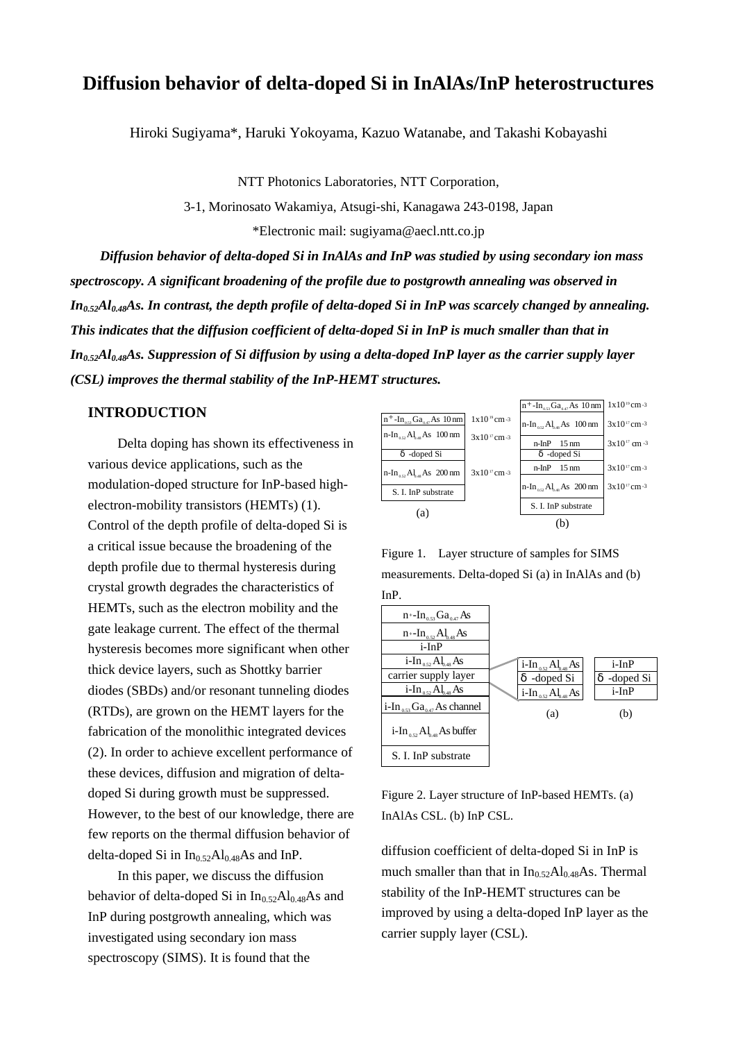# **Diffusion behavior of delta-doped Si in InAlAs/InP heterostructures**

Hiroki Sugiyama\*, Haruki Yokoyama, Kazuo Watanabe, and Takashi Kobayashi

NTT Photonics Laboratories, NTT Corporation,

3-1, Morinosato Wakamiya, Atsugi-shi, Kanagawa 243-0198, Japan \*Electronic mail: sugiyama@aecl.ntt.co.jp

*Diffusion behavior of delta-doped Si in InAlAs and InP was studied by using secondary ion mass spectroscopy. A significant broadening of the profile due to postgrowth annealing was observed in In0.52Al0.48As. In contrast, the depth profile of delta-doped Si in InP was scarcely changed by annealing. This indicates that the diffusion coefficient of delta-doped Si in InP is much smaller than that in In0.52Al0.48As. Suppression of Si diffusion by using a delta-doped InP layer as the carrier supply layer (CSL) improves the thermal stability of the InP-HEMT structures.*

## **INTRODUCTION**

Delta doping has shown its effectiveness in various device applications, such as the modulation-doped structure for InP-based highelectron-mobility transistors (HEMTs) (1). Control of the depth profile of delta-doped Si is a critical issue because the broadening of the depth profile due to thermal hysteresis during crystal growth degrades the characteristics of HEMTs, such as the electron mobility and the gate leakage current. The effect of the thermal hysteresis becomes more significant when other thick device layers, such as Shottky barrier diodes (SBDs) and/or resonant tunneling diodes (RTDs), are grown on the HEMT layers for the fabrication of the monolithic integrated devices (2). In order to achieve excellent performance of these devices, diffusion and migration of deltadoped Si during growth must be suppressed. However, to the best of our knowledge, there are few reports on the thermal diffusion behavior of delta-doped Si in  $In_{0.52}Al_{0.48}As$  and InP.

In this paper, we discuss the diffusion behavior of delta-doped Si in  $In<sub>0.52</sub>Al<sub>0.48</sub>As$  and InP during postgrowth annealing, which was investigated using secondary ion mass spectroscopy (SIMS). It is found that the



Figure 1. Layer structure of samples for SIMS measurements. Delta-doped Si (a) in InAlAs and (b) InP.

| $n_{\pm}$ -In <sub>osa</sub> Ga <sub>047</sub> As                                                             |                                             |           |
|---------------------------------------------------------------------------------------------------------------|---------------------------------------------|-----------|
| $n_{\scriptstyle{\text{+}}\text{-}In_{\scriptscriptstyle{0.5}}\text{,Al}_{\scriptscriptstyle{0.48}}\text{As}$ |                                             |           |
| $i-InP$                                                                                                       |                                             |           |
| $i$ -In <sub>052</sub> Al <sub>048</sub> As                                                                   | i-In <sub>0.52</sub> Al <sub>0.48</sub> As  | i-InP     |
| carrier supply layer                                                                                          | -doped Si                                   | -doped Si |
| $i-In_{0.52}Al_{0.48}As$                                                                                      | $i$ -In <sub>052</sub> Al <sub>048</sub> As | i-InP     |
| i-In <sub>053</sub> Ga <sub>047</sub> As channel                                                              |                                             |           |
|                                                                                                               | (a)                                         | (b)       |
| $i$ -In <sub>0.52</sub> Al <sub>0.48</sub> As buffer                                                          |                                             |           |
| S. I. In P substrate                                                                                          |                                             |           |

Figure 2. Layer structure of InP-based HEMTs. (a) InAlAs CSL. (b) InP CSL.

diffusion coefficient of delta-doped Si in InP is much smaller than that in  $In<sub>0.52</sub>Al<sub>0.48</sub>As. Thermal$ stability of the InP-HEMT structures can be improved by using a delta-doped InP layer as the carrier supply layer (CSL).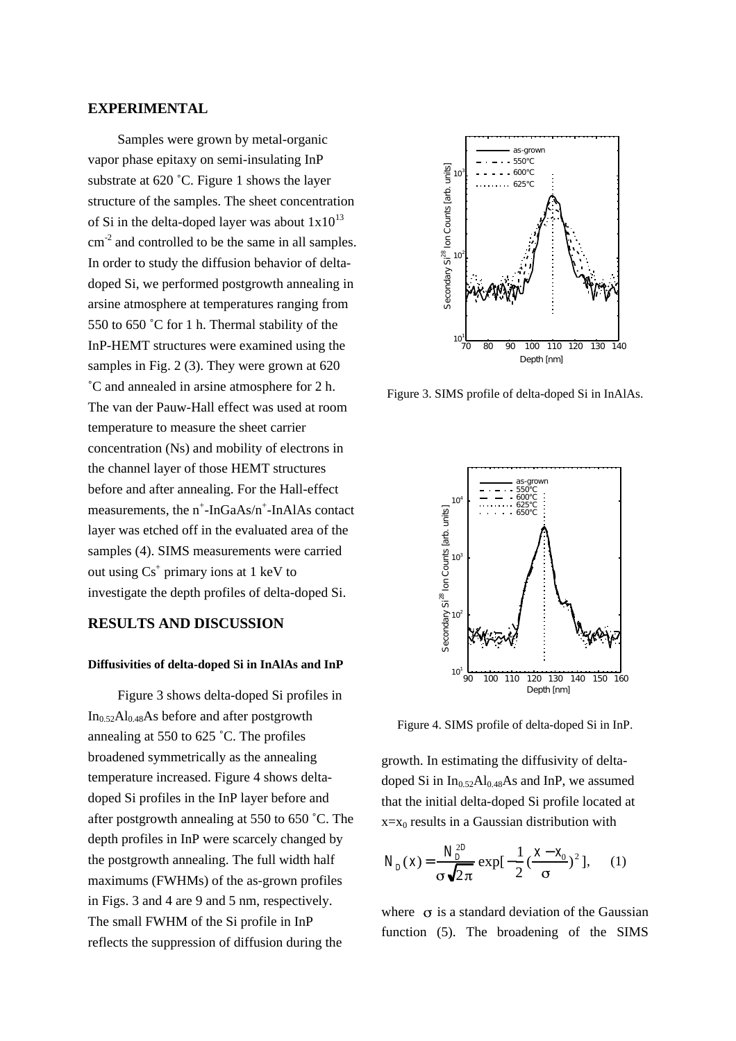## **EXPERIMENTAL**

Samples were grown by metal-organic vapor phase epitaxy on semi-insulating InP substrate at 620 ˚C. Figure 1 shows the layer structure of the samples. The sheet concentration of Si in the delta-doped layer was about  $1x10^{13}$ cm<sup>-2</sup> and controlled to be the same in all samples. In order to study the diffusion behavior of deltadoped Si, we performed postgrowth annealing in arsine atmosphere at temperatures ranging from 550 to 650 ˚C for 1 h. Thermal stability of the InP-HEMT structures were examined using the samples in Fig. 2 (3). They were grown at 620 ˚C and annealed in arsine atmosphere for 2 h. The van der Pauw-Hall effect was used at room temperature to measure the sheet carrier concentration (Ns) and mobility of electrons in the channel layer of those HEMT structures before and after annealing. For the Hall-effect measurements, the n<sup>+</sup>-InGaAs/n<sup>+</sup>-InAlAs contact layer was etched off in the evaluated area of the samples (4). SIMS measurements were carried out using  $Cs<sup>+</sup>$  primary ions at 1 keV to investigate the depth profiles of delta-doped Si.

## **RESULTS AND DISCUSSION**

#### **Diffusivities of delta-doped Si in InAlAs and InP**

Figure 3 shows delta-doped Si profiles in  $In<sub>0.52</sub>Al<sub>0.48</sub>As before and after postgrowth$ annealing at 550 to 625 ˚C. The profiles broadened symmetrically as the annealing temperature increased. Figure 4 shows deltadoped Si profiles in the InP layer before and after postgrowth annealing at 550 to 650 ˚C. The depth profiles in InP were scarcely changed by the postgrowth annealing. The full width half maximums (FWHMs) of the as-grown profiles in Figs. 3 and 4 are 9 and 5 nm, respectively. The small FWHM of the Si profile in InP reflects the suppression of diffusion during the



Figure 3. SIMS profile of delta-doped Si in InAlAs.



Figure 4. SIMS profile of delta-doped Si in InP.

growth. In estimating the diffusivity of deltadoped Si in  $In_{0.52}Al_{0.48}As$  and InP, we assumed that the initial delta-doped Si profile located at  $x=x_0$  results in a Gaussian distribution with

$$
N_D(x) = \frac{N_D^{2D}}{\sigma \sqrt{2\pi}} \exp\left[-\frac{1}{2} \left(\frac{x - x_0}{\sigma}\right)^2\right], \quad (1)
$$

where  $\sigma$  is a standard deviation of the Gaussian function (5). The broadening of the SIMS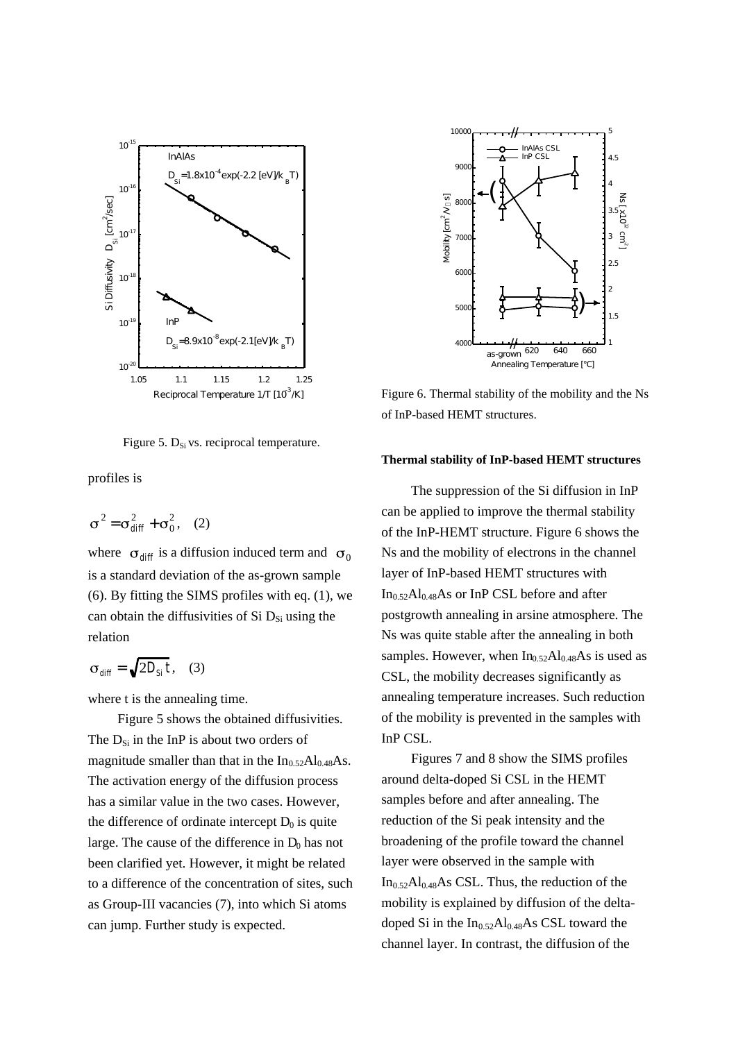

Figure 5.  $D_{Si}$  vs. reciprocal temperature.

profiles is

$$
\sigma^2 = \sigma_{diff}^2 + \sigma_0^2, \quad (2)
$$

where  $\sigma_{diff}$  is a diffusion induced term and  $\sigma_0$ is a standard deviation of the as-grown sample (6). By fitting the SIMS profiles with eq. (1), we can obtain the diffusivities of  $Si$   $D_{Si}$  using the relation

$$
\sigma_{\text{diff}} = \sqrt{2D_{\text{Si}}t} \,,\quad (3)
$$

where t is the annealing time.

Figure 5 shows the obtained diffusivities. The  $D_{Si}$  in the InP is about two orders of magnitude smaller than that in the  $In_{0.52}Al_{0.48}As$ . The activation energy of the diffusion process has a similar value in the two cases. However, the difference of ordinate intercept  $D_0$  is quite large. The cause of the difference in  $D_0$  has not been clarified yet. However, it might be related to a difference of the concentration of sites, such as Group-III vacancies (7), into which Si atoms can jump. Further study is expected.



Figure 6. Thermal stability of the mobility and the Ns of InP-based HEMT structures.

#### **Thermal stability of InP-based HEMT structures**

The suppression of the Si diffusion in InP can be applied to improve the thermal stability of the InP-HEMT structure. Figure 6 shows the Ns and the mobility of electrons in the channel layer of InP-based HEMT structures with  $In<sub>0.52</sub>Al<sub>0.48</sub>As$  or InP CSL before and after postgrowth annealing in arsine atmosphere. The Ns was quite stable after the annealing in both samples. However, when  $In<sub>0.52</sub>Al<sub>0.48</sub>As$  is used as CSL, the mobility decreases significantly as annealing temperature increases. Such reduction of the mobility is prevented in the samples with InP CSL.

Figures 7 and 8 show the SIMS profiles around delta-doped Si CSL in the HEMT samples before and after annealing. The reduction of the Si peak intensity and the broadening of the profile toward the channel layer were observed in the sample with  $In<sub>0.52</sub>Al<sub>0.48</sub>As CSL. Thus, the reduction of the$ mobility is explained by diffusion of the deltadoped Si in the  $In<sub>0.52</sub>Al<sub>0.48</sub>As CSL toward the$ channel layer. In contrast, the diffusion of the